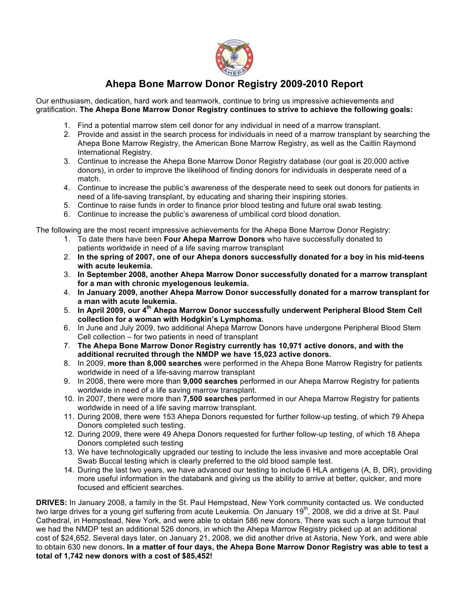

## **Ahepa Bone Marrow Donor Registry 2009-2010 Report**

## Our enthusiasm, dedication, hard work and teamwork, continue to bring us impressive achievements and gratification. **The Ahepa Bone Marrow Donor Registry continues to strive to achieve the following goals:**

- 1. Find a potential marrow stem cell donor for any individual in need of a marrow transplant.
- 2. Provide and assist in the search process for individuals in need of a marrow transplant by searching the Ahepa Bone Marrow Registry, the American Bone Marrow Registry, as well as the Caitlin Raymond International Registry.
- 3. Continue to increase the Ahepa Bone Marrow Donor Registry database (our goal is 20,000 active donors), in order to improve the likelihood of finding donors for individuals in desperate need of a match.
- 4. Continue to increase the public's awareness of the desperate need to seek out donors for patients in need of a life-saving transplant, by educating and sharing their inspiring stories.
- 5. Continue to raise funds in order to finance prior blood testing and future oral swab testing.
- 6. Continue to increase the public's awareness of umbilical cord blood donation.

The following are the most recent impressive achievements for the Ahepa Bone Marrow Donor Registry:

- 1. To date there have been **Four Ahepa Marrow Donors** who have successfully donated to patients worldwide in need of a life saving marrow transplant
- 2. **In the spring of 2007, one of our Ahepa donors successfully donated for a boy in his mid-teens with acute leukemia.**
- 3. **In September 2008, another Ahepa Marrow Donor successfully donated for a marrow transplant for a man with chronic myelogenous leukemia.**
- 4. **In January 2009, another Ahepa Marrow Donor successfully donated for a marrow transplant for a man with acute leukemia.**
- 5. **In April 2009, our 4th Ahepa Marrow Donor successfully underwent Peripheral Blood Stem Cell collection for a woman with Hodgkin's Lymphoma.**
- 6. In June and July 2009, two additional Ahepa Marrow Donors have undergone Peripheral Blood Stem Cell collection – for two patients in need of transplant
- 7. **The Ahepa Bone Marrow Donor Registry currently has 10,971 active donors, and with the additional recruited through the NMDP we have 15,023 active donors.**
- 8. In 2009, **more than 8,000 searches** were performed in the Ahepa Bone Marrow Registry for patients worldwide in need of a life-saving marrow transplant
- 9. In 2008, there were more than **9,000 searches** performed in our Ahepa Marrow Registry for patients worldwide in need of a life saving marrow transplant.
- 10. In 2007, there were more than **7,500 searches** performed in our Ahepa Marrow Registry for patients worldwide in need of a life saving marrow transplant.
- 11. During 2008, there were 153 Ahepa Donors requested for further follow-up testing, of which 79 Ahepa Donors completed such testing.
- 12. During 2009, there were 49 Ahepa Donors requested for further follow-up testing, of which 18 Ahepa Donors completed such testing
- 13. We have technologically upgraded our testing to include the less invasive and more acceptable Oral Swab Buccal testing which is clearly preferred to the old blood sample test.
- 14. During the last two years, we have advanced our testing to include 6 HLA antigens (A, B, DR), providing more useful information in the databank and giving us the ability to arrive at better, quicker, and more focused and efficient searches.

**DRIVES:** In January 2008, a family in the St. Paul Hempstead, New York community contacted us. We conducted two large drives for a young girl suffering from acute Leukemia. On January 19<sup>th</sup>, 2008, we did a drive at St. Paul Cathedral, in Hempstead, New York, and were able to obtain 586 new donors. There was such a large turnout that we had the NMDP test an additional 526 donors, in which the Ahepa Marrow Registry picked up at an additional cost of \$24,652. Several days later, on January 21, 2008, we did another drive at Astoria, New York, and were able to obtain 630 new donors**. In a matter of four days, the Ahepa Bone Marrow Donor Registry was able to test a total of 1,742 new donors with a cost of \$85,452!**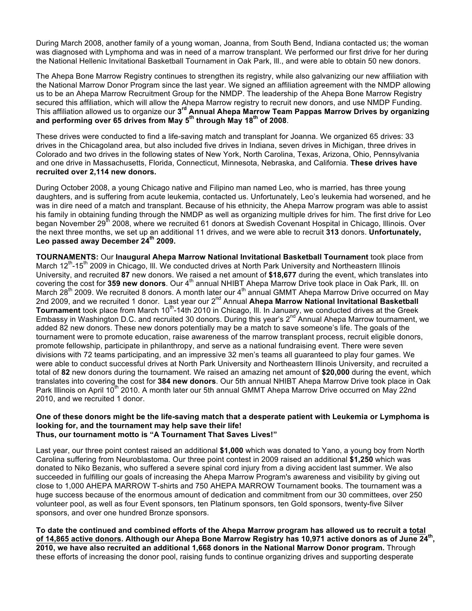During March 2008, another family of a young woman, Joanna, from South Bend, Indiana contacted us; the woman was diagnosed with Lymphoma and was in need of a marrow transplant. We performed our first drive for her during the National Hellenic Invitational Basketball Tournament in Oak Park, Ill., and were able to obtain 50 new donors.

The Ahepa Bone Marrow Registry continues to strengthen its registry, while also galvanizing our new affiliation with the National Marrow Donor Program since the last year. We signed an affiliation agreement with the NMDP allowing us to be an Ahepa Marrow Recruitment Group for the NMDP. The leadership of the Ahepa Bone Marrow Registry secured this affiliation, which will allow the Ahepa Marrow registry to recruit new donors, and use NMDP Funding. This affiliation allowed us to organize our **3rd Annual Ahepa Marrow Team Pappas Marrow Drives by organizing and performing over 65 drives from May 5th through May 18th of 2008**.

These drives were conducted to find a life-saving match and transplant for Joanna. We organized 65 drives: 33 drives in the Chicagoland area, but also included five drives in Indiana, seven drives in Michigan, three drives in Colorado and two drives in the following states of New York, North Carolina, Texas, Arizona, Ohio, Pennsylvania and one drive in Massachusetts, Florida, Connecticut, Minnesota, Nebraska, and California. **These drives have recruited over 2,114 new donors.**

During October 2008, a young Chicago native and Filipino man named Leo, who is married, has three young daughters, and is suffering from acute leukemia, contacted us. Unfortunately, Leo's leukemia had worsened, and he was in dire need of a match and transplant. Because of his ethnicity, the Ahepa Marrow program was able to assist his family in obtaining funding through the NMDP as well as organizing multiple drives for him. The first drive for Leo began November 29<sup>th</sup> 2008, where we recruited 61 donors at Swedish Covenant Hospital in Chicago, Illinois. Over the next three months, we set up an additional 11 drives, and we were able to recruit **313** donors. **Unfortunately, Leo passed away December 24th 2009.**

**TOURNAMENTS:** Our **Inaugural Ahepa Marrow National Invitational Basketball Tournament** took place from March 12<sup>th</sup>-15<sup>th</sup> 2009 in Chicago, III. We conducted drives at North Park University and Northeastern Illinois University, and recruited **87** new donors. We raised a net amount of **\$18,677** during the event, which translates into covering the cost for 359 new donors. Our 4<sup>th</sup> annual NHIBT Ahepa Marrow Drive took place in Oak Park, Ill. on March  $28<sup>th</sup>$  2009. We recruited 8 donors. A month later our  $4<sup>th</sup>$  annual GMMT Ahepa Marrow Drive occurred on May 2nd 2009, and we recruited 1 donor. Last year our 2nd Annual **Ahepa Marrow National Invitational Basketball**  Tournament took place from March 10<sup>th</sup>-14th 2010 in Chicago, III. In January, we conducted drives at the Greek Embassy in Washington D.C. and recruited 30 donors. During this year's 2<sup>nd A</sup>nnual Ahepa Marrow tournament, we added 82 new donors. These new donors potentially may be a match to save someone's life. The goals of the tournament were to promote education, raise awareness of the marrow transplant process, recruit eligible donors, promote fellowship, participate in philanthropy, and serve as a national fundraising event. There were seven divisions with 72 teams participating, and an impressive 32 men's teams all guaranteed to play four games. We were able to conduct successful drives at North Park University and Northeastern Illinois University, and recruited a total of **82** new donors during the tournament. We raised an amazing net amount of **\$20,000** during the event, which translates into covering the cost for **384 new donors**. Our 5th annual NHIBT Ahepa Marrow Drive took place in Oak Park Illinois on April 10<sup>th</sup> 2010. A month later our 5th annual GMMT Ahepa Marrow Drive occurred on May 22nd 2010, and we recruited 1 donor.

## **One of these donors might be the life-saving match that a desperate patient with Leukemia or Lymphoma is looking for, and the tournament may help save their life! Thus, our tournament motto is "A Tournament That Saves Lives!"**

Last year, our three point contest raised an additional **\$1,000** which was donated to Yano, a young boy from North Carolina suffering from Neuroblastoma. Our three point contest in 2009 raised an additional **\$1,250** which was donated to Niko Bezanis, who suffered a severe spinal cord injury from a diving accident last summer. We also succeeded in fulfilling our goals of increasing the Ahepa Marrow Program's awareness and visibility by giving out close to 1,000 AHEPA MARROW T-shirts and 750 AHEPA MARROW Tournament books. The tournament was a huge success because of the enormous amount of dedication and commitment from our 30 committees, over 250 volunteer pool, as well as four Event sponsors, ten Platinum sponsors, ten Gold sponsors, twenty-five Silver sponsors, and over one hundred Bronze sponsors.

**To date the continued and combined efforts of the Ahepa Marrow program has allowed us to recruit a total**  of 14,865 active donors. Although our Ahepa Bone Marrow Registry has 10,971 active donors as of June 24<sup>th</sup>, **2010, we have also recruited an additional 1,668 donors in the National Marrow Donor program.** Through these efforts of increasing the donor pool, raising funds to continue organizing drives and supporting desperate